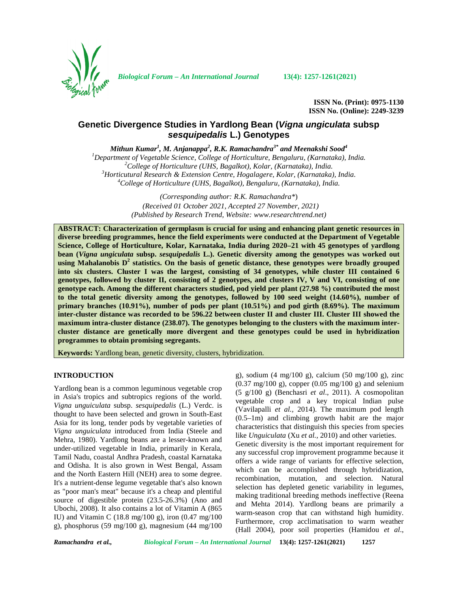

*Biological Forum – An International Journal* **13(4): 1257-1261(2021)**

**ISSN No. (Print): 0975-1130 ISSN No. (Online): 2249-3239**

# **Genetic Divergence Studies in Yardlong Bean (***Vigna ungiculata* **subsp** *sesquipedalis* **L.) Genotypes**

*Mithun Kumar<sup>1</sup> , M. Anjanappa<sup>2</sup> , R.K. Ramachandra3\* and Meenakshi Sood<sup>4</sup>*

<sup>1</sup>Department of Vegetable Science, College of Horticulture, Bengaluru, (Karnataka), India.<br><sup>2</sup>College of Horticulture (UHS, Bagalkot), Kolar, (Karnataka), India.<br><sup>3</sup>Horticutural Research & Extension Centre, Hogalagere, K

*(Corresponding author: R.K. Ramachandra\**) *(Received 01 October 2021, Accepted 27 November, 2021) (Published by Research Trend, Website: [www.researchtrend.net\)](www.researchtrend.net)*

**ABSTRACT: Characterization of germplasm is crucial for using and enhancing plant genetic resources in diverse breeding programmes, hence the field experiments were conducted at the Department of Vegetable Science, College of Horticulture, Kolar, Karnataka, India during 2020–21 with 45 genotypes of yardlong bean (***Vigna ungiculata* **subsp.** *sesquipedalis* **L.). Genetic diversity among the genotypes was worked out using Mahalanobis D<sup>2</sup> statistics. On the basis of genetic distance, these genotypes were broadly grouped into six clusters. Cluster I was the largest, consisting of 34 genotypes, while cluster III contained 6 genotypes, followed by cluster II, consisting of 2 genotypes, and clusters IV, V and VI, consisting of one genotype each. Among the different characters studied, pod yield per plant (27.98 %) contributed the most to the total genetic diversity among the genotypes, followed by 100 seed weight (14.60%), number of primary branches (10.91%), number of pods per plant (10.51%) and pod girth (8.69%). The maximum inter-cluster distance was recorded to be 596.22 between cluster II and cluster III. Cluster III showed the maximum intra-cluster distance (238.07). The genotypes belonging to the clusters with the maximum inter cluster distance are genetically more divergent and these genotypes could be used in hybridization programmes to obtain promising segregants.**

**Keywords:** Yardlong bean, genetic diversity, clusters, hybridization.

### **INTRODUCTION**

Yardlong bean is a common leguminous vegetable crop in Asia's tropics and subtropics regions of the world. *Vigna unguiculata* subsp. *sesquipedalis* (L.) Verdc. is thought to have been selected and grown in South-East Asia for its long, tender pods by vegetable varieties of *Vigna unguiculata* introduced from India (Steele and Mehra, 1980). Yardlong beans are a lesser-known and under-utilized vegetable in India, primarily in Kerala, Tamil Nadu, coastal Andhra Pradesh, coastal Karnataka and Odisha. It is also grown in West Bengal, Assam and the North Eastern Hill (NEH) area to some degree. It's a nutrient-dense legume vegetable that's also known as "poor man's meat" because it's a cheap and plentiful source of digestible protein (23.5-26.3%) (Ano and Ubochi, 2008). It also contains a lot of Vitamin A (865 IU) and Vitamin C (18.8 mg/100 g), iron (0.47 mg/100 g), phosphorus (59 mg/100 g), magnesium (44 mg/100

g), sodium (4 mg/100 g), calcium (50 mg/100 g), zinc  $(0.37 \text{ mg}/100 \text{ g})$ , copper  $(0.05 \text{ mg}/100 \text{ g})$  and selenium (5 g/100 g) (Benchasri *et al*., 2011). A cosmopolitan vegetable crop and a key tropical Indian pulse (Vavilapalli *et al.,* 2014). The maximum pod length (0.5–1m) and climbing growth habit are the major characteristics that distinguish this species from species like *Unguiculata* (Xu *et al.,* 2010) and other varieties. Genetic diversity is the most important requirement for any successful crop improvement programme because it offers a wide range of variants for effective selection, which can be accomplished through hybridization, recombination, mutation, and selection. Natural selection has depleted genetic variability in legumes, making traditional breeding methods ineffective (Reena and Mehta 2014). Yardlong beans are primarily a warm-season crop that can withstand high humidity. Furthermore, crop acclimatisation to warm weather (Hall 2004), poor soil properties (Hamidou *et al*.,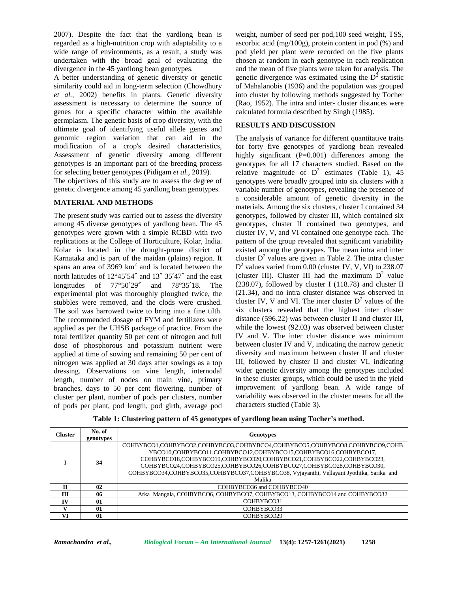2007). Despite the fact that the yardlong bean is regarded as a high-nutrition crop with adaptability to a wide range of environments, as a result, a study was undertaken with the broad goal of evaluating the divergence in the 45 yardlong bean genotypes.

A better understanding of genetic diversity or genetic similarity could aid in long-term selection (Chowdhury *et al.,* 2002) benefits in plants. Genetic diversity assessment is necessary to determine the source of genes for a specific character within the available germplasm. The genetic basis of crop diversity, with the ultimate goal of identifying useful allele genes and genomic region variation that can aid in the modification of a crop's desired characteristics, Assessment of genetic diversity among different genotypes is an important part of the breeding process for selecting better genotypes (Pidigam *et al.,* 2019).

The objectives of this study are to assess the degree of genetic divergence among 45 yardlong bean genotypes.

### **MATERIAL AND METHODS**

The present study was carried out to assess the diversity among 45 diverse genotypes of yardlong bean. The 45 genotypes were grown with a simple RCBD with two replications at the College of Horticulture, Kolar, India. Kolar is located in the drought-prone district of Karnataka and is part of the maidan (plains) region. It spans an area of  $3969 \text{ km}^2$  and is located between the north latitudes of 12°45′54″ and 13″ 35′47″ and the east longitudes of 77°50′29″ and 78°35′18. The experimental plot was thoroughly ploughed twice, the stubbles were removed, and the clods were crushed. The soil was harrowed twice to bring into a fine tilth. The recommended dosage of FYM and fertilizers were applied as per the UHSB package of practice. From the total fertilizer quantity 50 per cent of nitrogen and full dose of phosphorous and potassium nutrient were applied at time of sowing and remaining 50 per cent of nitrogen was applied at 30 days after sowings as a top dressing. Observations on vine length, internodal length, number of nodes on main vine, primary branches, days to 50 per cent flowering, number of cluster per plant, number of pods per clusters, number of pods per plant, pod length, pod girth, average pod

weight, number of seed per pod,100 seed weight, TSS, ascorbic acid (mg/100g), protein content in pod (%) and pod yield per plant were recorded on the five plants chosen at random in each genotype in each replication and the mean of five plants were taken for analysis. The genetic divergence was estimated using the  $D<sup>2</sup>$  statistic of Mahalanobis (1936) and the population was grouped into cluster by following methods suggested by Tocher (Rao, 1952). The intra and inter- cluster distances were calculated formula described by Singh (1985).

## **RESULTS AND DISCUSSION**

The analysis of variance for different quantitative traits for forty five genotypes of yardlong bean revealed highly significant (P=0.001) differences among the genotypes for all 17 characters studied. Based on the relative magnitude of  $D^2$  estimates (Table 1), 45 genotypes were broadly grouped into six clusters with a variable number of genotypes, revealing the presence of a considerable amount of genetic diversity in the materials. Among the six clusters, cluster I contained 34 genotypes, followed by cluster III, which contained six genotypes, cluster II contained two genotypes, and cluster IV, V, and VI contained one genotype each. The pattern of the group revealed that significant variability existed among the genotypes. The mean intra and inter cluster  $D^2$  values are given in Table 2. The intra cluster D <sup>2</sup> values varied from 0.00 (cluster IV, V, VI) to 238.07 (cluster III). Cluster III had the maximum  $D^2$  value (238.07), followed by cluster I (118.78) and cluster II (21.34), and no intra cluster distance was observed in cluster IV, V and VI. The inter cluster  $D<sup>2</sup>$  values of the six clusters revealed that the highest inter cluster distance (596.22) was between cluster II and cluster III, while the lowest (92.03) was observed between cluster IV and V. The inter cluster distance was minimum between cluster IV and V, indicating the narrow genetic diversity and maximum between cluster II and cluster III, followed by cluster II and cluster VI, indicating wider genetic diversity among the genotypes included in these cluster groups, which could be used in the yield improvement of yardlong bean. A wide range of variability was observed in the cluster means for all the characters studied (Table 3).

| <b>Cluster</b> | No. of<br>genotypes | <b>Genotypes</b>                                                                                                                                                                                                                                                                                                                                                                       |  |  |
|----------------|---------------------|----------------------------------------------------------------------------------------------------------------------------------------------------------------------------------------------------------------------------------------------------------------------------------------------------------------------------------------------------------------------------------------|--|--|
| 34<br>Malika   |                     | COHBYBCO1,COHBYBCO2,COHBYBCO3,COHBYBCO4,COHBYBCO5,COHBYBCO8,COHBYBCO9,COHB<br>YBCO10,COHBYBCO11,COHBYBCO12,COHBYBCO15,COHBYBCO16,COHBYBCO17,<br>COHBYBCO18.COHBYBCO19.COHBYBCO20.COHBYBCO21.COHBYBCO22.COHBYBCO23.<br>COHBYBCO24.COHBYBCO25.COHBYBCO26.COHBYBCO27.COHBYBCO28.COHBYBCO30.<br>COHBYBCO34, COHBYBCO35, COHBYBCO37, COHBYBCO38, Vyjayanthi, Vellayani Jyothika, Sarika and |  |  |
|                |                     |                                                                                                                                                                                                                                                                                                                                                                                        |  |  |
|                |                     | 02<br>COHBYBCO36 and COHBYBCO40                                                                                                                                                                                                                                                                                                                                                        |  |  |
| Ш              |                     | Arka Mangala, COHBYBCO6, COHBYBCO7, COHBYBCO13, COHBYBCO14 and COHBYBCO32<br>06                                                                                                                                                                                                                                                                                                        |  |  |
| IV             | 01                  | COHBYBCO31                                                                                                                                                                                                                                                                                                                                                                             |  |  |
|                | 01                  | COHBYBCO33                                                                                                                                                                                                                                                                                                                                                                             |  |  |
| VI             | 01                  | COHBYBCO29                                                                                                                                                                                                                                                                                                                                                                             |  |  |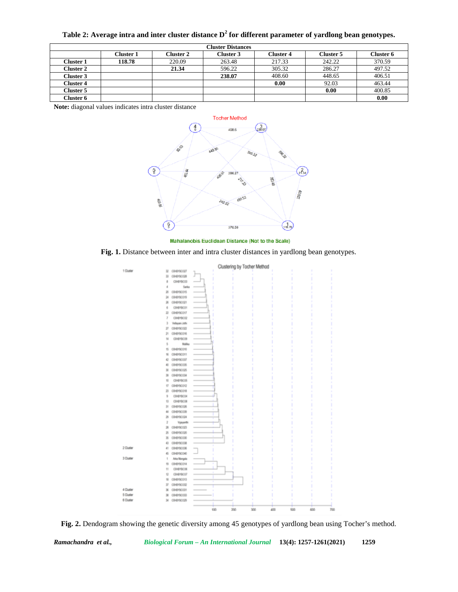**Table 2: Average intra and inter cluster distance D<sup>2</sup> for different parameter of yardlong bean genotypes.**

| <b>Cluster Distances</b> |           |                  |           |                  |                  |           |
|--------------------------|-----------|------------------|-----------|------------------|------------------|-----------|
|                          | Cluster 1 | <b>Cluster 2</b> | Cluster 3 | <b>Cluster 4</b> | <b>Cluster 5</b> | Cluster 6 |
| Cluster 1                | 118.78    | 220.09           | 263.48    | 217.33           | 242.22           | 370.59    |
| <b>Cluster 2</b>         |           | 21.34            | 596.22    | 305.32           | 286.27           | 497.52    |
| <b>Cluster 3</b>         |           |                  | 238.07    | 408.60           | 448.65           | 406.51    |
| Cluster 4                |           |                  |           | 0.00             | 92.03            | 463.44    |
| Cluster 5                |           |                  |           |                  | 0.00             | 400.85    |
| Cluster 6                |           |                  |           |                  |                  | 0.00      |

**Note:** diagonal values indicates intra cluster distance



Mahalanobis Euclidean Distance (Not to the Scale)

**Fig. 1.** Distance between inter and intra cluster distances in yardlong bean genotypes.



**Fig. 2.** Dendogram showing the genetic diversity among 45 genotypes of yardlong bean using Tocher's method.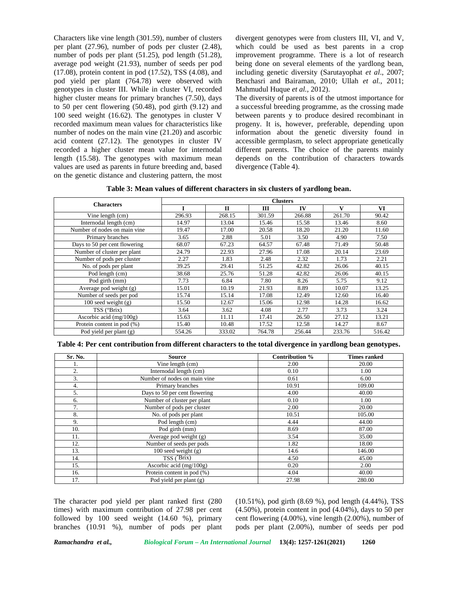Characters like vine length (301.59), number of clusters per plant (27.96), number of pods per cluster (2.48), number of pods per plant (51.25), pod length (51.28), average pod weight (21.93), number of seeds per pod (17.08), protein content in pod (17.52), TSS (4.08), and pod yield per plant (764.78) were observed with genotypes in cluster III. While in cluster VI, recorded higher cluster means for primary branches (7.50), days to 50 per cent flowering (50.48), pod girth (9.12) and 100 seed weight (16.62). The genotypes in cluster V recorded maximum mean values for characteristics like number of nodes on the main vine (21.20) and ascorbic acid content (27.12). The genotypes in cluster IV recorded a higher cluster mean value for internodal length (15.58). The genotypes with maximum mean values are used as parents in future breeding and, based on the genetic distance and clustering pattern, the most divergent genotypes were from clusters III, VI, and V, which could be used as best parents in a crop improvement programme. There is a lot of research being done on several elements of the yardlong bean, including genetic diversity (Sarutayophat *et al*., 2007; Benchasri and Bairaman, 2010; Ullah *et al.*, 2011; Mahmudul Huque *et al.,* 2012).

The diversity of parents is of the utmost importance for a successful breeding programme, as the crossing made between parents y to produce desired recombinant in progeny. It is, however, preferable, depending upon information about the genetic diversity found in accessible germplasm, to select appropriate genetically different parents. The choice of the parents mainly depends on the contribution of characters towards divergence (Table 4).

**Table 3: Mean values of different characters in six clusters of yardlong bean.**

| <b>Characters</b>                          | <b>Clusters</b> |              |        |        |        |        |
|--------------------------------------------|-----------------|--------------|--------|--------|--------|--------|
|                                            |                 | $\mathbf{I}$ | Ш      | IV     | V      | VI     |
| Vine length (cm)                           | 296.93          | 268.15       | 301.59 | 266.88 | 261.70 | 90.42  |
| Internodal length (cm)                     | 14.97           | 13.04        | 15.46  | 15.58  | 13.46  | 8.60   |
| Number of nodes on main vine               | 19.47           | 17.00        | 20.58  | 18.20  | 21.20  | 11.60  |
| Primary branches                           | 3.65            | 2.88         | 5.01   | 3.50   | 4.90   | 7.50   |
| Days to 50 per cent flowering              | 68.07           | 67.23        | 64.57  | 67.48  | 71.49  | 50.48  |
| Number of cluster per plant                | 24.79           | 22.93        | 27.96  | 17.08  | 20.14  | 23.69  |
| Number of pods per cluster                 | 2.27            | 1.83         | 2.48   | 2.32   | 1.73   | 2.21   |
| $\overline{\text{No}}$ . of pods per plant | 39.25           | 29.41        | 51.25  | 42.82  | 26.06  | 40.15  |
| Pod length (cm)                            | 38.68           | 25.76        | 51.28  | 42.82  | 26.06  | 40.15  |
| Pod girth (mm)                             | 7.73            | 6.84         | 7.80   | 8.26   | 5.75   | 9.12   |
| Average pod weight $(g)$                   | 15.01           | 10.19        | 21.93  | 8.89   | 10.07  | 13.25  |
| Number of seeds per pod                    | 15.74           | 15.14        | 17.08  | 12.49  | 12.60  | 16.40  |
| $100$ seed weight $(g)$                    | 15.50           | 12.67        | 15.06  | 12.98  | 14.28  | 16.62  |
| $TSS$ ( $Brix$ )                           | 3.64            | 3.62         | 4.08   | 2.77   | 3.73   | 3.24   |
| Ascorbic acid (mg/100g)                    | 15.63           | 11.11        | 17.41  | 26.50  | 27.12  | 13.21  |
| Protein content in pod (%)                 | 15.40           | 10.48        | 17.52  | 12.58  | 14.27  | 8.67   |
| $\overline{Pod}$ yield per plant (g)       | 554.26          | 333.02       | 764.78 | 256.44 | 233.76 | 516.42 |

**Table 4: Per cent contribution from different characters to the total divergence in yardlong bean genotypes.**

| Sr. No. | <b>Source</b>                 | Contribution % | <b>Times ranked</b> |
|---------|-------------------------------|----------------|---------------------|
| 1.      | Vine length (cm)              | 2.00           | 20.00               |
| 2.      | Internodal length (cm)        | 0.10           | 1.00                |
| 3.      | Number of nodes on main vine  | 0.61           | 6.00                |
| 4.      | Primary branches              | 10.91          | 109.00              |
| 5.      | Days to 50 per cent flowering | 4.00           | 40.00               |
| 6.      | Number of cluster per plant   | 0.10           | 1.00                |
| 7.      | Number of pods per cluster    | 2.00           | 20.00               |
| 8.      | No. of pods per plant         | 10.51          | 105.00              |
| 9.      | Pod length (cm)               | 4.44           | 44.00               |
| 10.     | Pod girth (mm)                | 8.69           | 87.00               |
| 11.     | Average pod weight (g)        | 3.54           | 35.00               |
| 12.     | Number of seeds per pods      | 1.82           | 18.00               |
| 13.     | 100 seed weight $(g)$         | 14.6           | 146.00              |
| 14.     | TSS $(^{\circ}Brix)$          | 4.50           | 45.00               |
| 15.     | Ascorbic acid (mg/100g)       | 0.20           | 2.00                |
| 16.     | Protein content in pod (%)    | 4.04           | 40.00               |
| 17.     | Pod vield per plant (g)       | 27.98          | 280.00              |

The character pod yield per plant ranked first (280 times) with maximum contribution of 27.98 per cent followed by 100 seed weight (14.60 %), primary branches (10.91 %), number of pods per plant (10.51%), pod girth (8.69 %), pod length (4.44%), TSS (4.50%), protein content in pod (4.04%), days to 50 per cent flowering (4.00%), vine length (2.00%), number of pods per plant (2.00%), number of seeds per pod